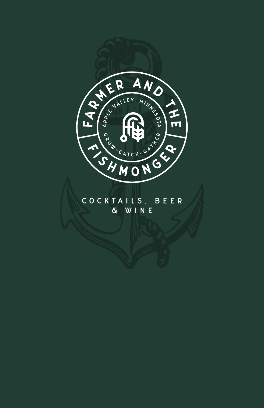

### COCKTAILS, BEER & WINE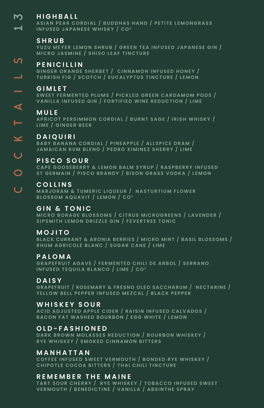#### **HIGHBALL** m.

**ASIAN PEAR CORDIAL / BUDDHAS HAND / PETITE LEMONGRASS**  $\blacksquare$ **INFUSED JAPANESE WHISKY / CO2**

#### **S HRUB**

**YUZU MEYER LEMON SHRUB / GREEN TEA INFUSED JAPANESE GIN / MICRO JASMINE / SHISO LEAF TINCTURE**

# COCKTAILS 1 3ၯ **PENICILLIN**

**GINGER ORANGE SHERBET / CINNAMON INFUSED HONEY / TURKISH FIG / SCOTCH / EUCALYPTUS TINCTURE / LEMON**

#### **GIMLET**

 $\overline{\phantom{0}}$ 

 $\blacktriangleleft$ 

Ë

 $\overline{O}$ 

 $\overline{u}$ 

**SWEET FERMENTED PLUMS / PICKLED GREEN CARDAMOM PODS / VANILLA INFUSED GIN / FORTIFIED WINE REDUCTION / LIME**

#### **MULE**

**APRICOT PERSIMMON CORDIAL / BURNT SAGE / IRISH WHISKY / LIME / GINGER BEER**

#### **DAIQUIRI**  $\leq$

**BABY BANANA CORDIAL / PINEAPPLE / ALLSPICE DRAM / JAMAICAN RUM BLEND / PEDRO XIMINEZ SHERRY / LIME**

#### $\overline{U}$ **PISCO SOUR**

**CAPE GOOSEBERRY & LEMON BALM SYRUP / RASPBERRY INFUSED ST GERMAIN / PISCO BRANDY / BISON GRASS VODKA / LEMON**

#### **COLLINS**

**MARJORAM & TUMERIC LIQUEUR / NASTURTIUM FLOWER BLOSSOM AQUAVIT / LEMON / CO2**

#### **GIN & TONIC**

**MICRO BORAGE BLOSSOMS / CITRUS MICROGREENS / LAVENDER / SIPSMITH LEMON DRIZZLE GIN / FEVERTREE TONIC**

#### **MOJITO**

**BLACK CURRANT & ARONIA BERRIES / MICRO MINT / BASIL BLOSSOMS / RHUM AGRICOLE BLANC / SUGAR CANE / LIME**

#### **PALOMA**

**GRAPEFRUIT AGAVE / FERMENTED CHILI DE ARBOL / SERRANO INFUSED TEQUILA BLANCO / LIME / CO2**

#### **DAISY**

**GRAPEFRUIT / ROSEMARY & FRESNO OLEO SACCHARUM / NECTARINE / YELLOW BELL PEPPER INFUSED MEZCAL / BLACK PEPPER**

#### **WHISKEY SOUR**

**ACID ADJUSTED APPLE CIDER / RAISIN INFUSED CALVADOS / BACON FAT WASHED BOURBON / EGG WHITE / LEMON**

#### **OLD-FASHIONED**

**DARK BROWN MOLASSES REDUCTION / BOURBON WHISKEY / RYE WHISKEY / SMOKED CINNAMON BITTERS**

#### **MANHATTAN**

**COFFEE INFUSED SWEET VERMOUTH / BONDED RYE WHISKEY / CHIPOTLE COCOA BITTERS / THAI CHILI TINCTURE**

#### **REMEMBER THE MAINE**

**TART SOUR CHERRY / RYE WHISKEY / TOBACCO INFUSED SWEET VERMOUTH / BENEDICTINE / VANILLA / ABSINTHE SPRAY**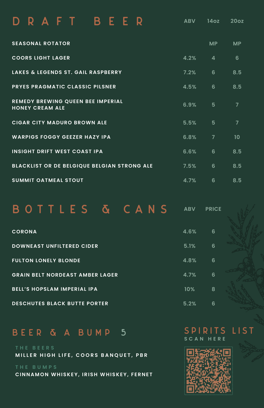| RAFT BEER                                                          | <b>ABV</b> | 14 <sub>oz</sub> | 20oz           |
|--------------------------------------------------------------------|------------|------------------|----------------|
| <b>SEASONAL ROTATOR</b>                                            |            | <b>MP</b>        | <b>MP</b>      |
| <b>COORS LIGHT LAGER</b>                                           | 4.2%       | $\overline{a}$   | 6              |
| <b>LAKES &amp; LEGENDS ST. GAIL RASPBERRY</b>                      | 7.2%       | 6                | 8.5            |
| <b>PRYES PRAGMATIC CLASSIC PILSNER</b>                             | 4.5%       | 6                | 8.5            |
| <b>REMEDY BREWING QUEEN BEE IMPERIAL</b><br><b>HONEY CREAM ALE</b> | 6.9%       | 5                | $\overline{7}$ |
| <b>CIGAR CITY MADURO BROWN ALE</b>                                 | 5.5%       | 5                | $\overline{7}$ |
| <b>WARPIGS FOGGY GEEZER HAZY IPA</b>                               | 6.8%       | $\overline{7}$   | 10             |
| <b>INSIGHT DRIFT WEST COAST IPA</b>                                | 6.6%       | 6                | 8.5            |
| BLACKLIST OR DE BELGIQUE BELGIAN STRONG ALE                        | 7.5%       | 6                | 8.5            |
| <b>SUMMIT OATMEAL STOUT</b>                                        | 4.7%       | 6                | 8.5            |

BOTTLES & CANS **ABV PRICE**

| <b>CORONA</b>                          | 4.6% | 6 |  |
|----------------------------------------|------|---|--|
| <b>DOWNEAST UNFILTERED CIDER</b>       | 5.1% | 6 |  |
| <b>FULTON LONELY BLONDE</b>            | 4.8% | 6 |  |
| <b>GRAIN BELT NORDEAST AMBER LAGER</b> | 4.7% | 6 |  |
| <b>BELL'S HOPSLAM IMPERIAL IPA</b>     | 10%  | 8 |  |
| <b>DESCHUTES BLACK BUTTE PORTER</b>    | 5.2% | 6 |  |

## BEER & A BUMP 5

**MILLER HIGH LIFE, COORS BANQUET, PBR**

**CINNAMON WHISKEY, IRISH WHISKEY, FERNET**

#### SPIRITS LIST **SCAN HERE**

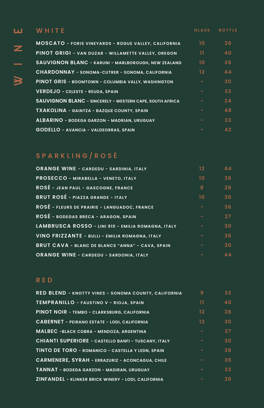# **WHITE GLASS BOTTLE** ш ロ<br>N<br>N<br>N

z

 $\frac{1}{\sqrt{2}}$ 

| <b>MOSCATO - FORIS VINEYARDS - ROGUE VALLEY, CALIFORNIA</b>     | 10 | 36 |
|-----------------------------------------------------------------|----|----|
| <b>PINOT GRIGI - VAN DUZAR - WILLAMETTE VALLEY, OREGON</b>      | 11 | 40 |
| <b>SAUVIGNON BLANC - KARUNI - MARLBOROUGH, NEW ZEALAND</b>      | 10 | 36 |
| <b>CHARDONNAY - SONOMA-CUTRER - SONOMA, CALIFORNIA</b>          | 12 | 44 |
| PINOT GRIS - BOOMTOWN - COLUMBIA VALLY, WASHINGTON              |    | 30 |
| <b>VERDEJO - CELESTE - REUDA, SPAIN</b>                         |    | 33 |
| <b>SAUVIGNON BLANC - SINCERELY - WESTERN CAPE, SOUTH AFRICA</b> |    | 24 |
| <b>TXAKOLINA - GAINTZA - BAZQUE COUNTY, SPAIN</b>               |    | 48 |
| <b>ALBARINO - BODEGA GARZON - MADRIAN, URUGUAY</b>              |    | 33 |
| <b>GODELLO - AVANCIA - VALDEORRAS, SPAIN</b>                    |    | 42 |

## **SPARKLING/ROS É**

| <b>ORANGE WINE - CARDEDU - SARDINIA, ITALY</b>     | 12              | 44 |
|----------------------------------------------------|-----------------|----|
| PROSECCO - MIRABELLA - VENETO, ITALY               | 10 <sup>2</sup> | 36 |
| ROSÉ - JEAN PAUL - GASCOGNE, FRANCE                | 8               | 28 |
| <b>BRUT ROSÉ - PIAZZA GRANDE - ITALY</b>           | 10 <sup>2</sup> | 36 |
| ROSÉ - FLEURS DE PRAIRIE - LANGUADOC, FRANCE       |                 | 36 |
| ROSÉ - BODEGAS BRECA - ARAGON, SPAIN               |                 | 27 |
| LAMBRUSCA ROSSO - LINI 910 - EMILIA ROMAGNA, ITALY |                 | 30 |
| VINO FRIZZANTE - BULLI - EMILIA ROMAGNA, ITALY     |                 | 36 |
| BRUT CAVA - BLANC DE BLANCS "ANNA" - CAVA, SPAIN   |                 | 30 |
| <b>ORANGE WINE - CARDEDU - SARDONIA, ITALY</b>     |                 | 44 |

#### **RED**

| <b>RED BLEND - KNOTTY VINES - SONOMA COUNTY, CALIFORNIA</b> | 9               | 32 <sub>2</sub> |
|-------------------------------------------------------------|-----------------|-----------------|
| <b>TEMPRANILLO - FAUSTINO V - RIOJA, SPAIN</b>              | 11              | 40              |
| PINOT NOIR - TEMBO - CLARKSBURG, CALIFORNIA                 | 12 <sup>2</sup> | 28              |
| <b>CABERNET - PEIRANO ESTATE - LODI, CALIFORNIA</b>         | 12 <sup>2</sup> | 30              |
| <b>MALBEC -BLACK COBRA - MENDOZA, ARGENTINA</b>             |                 | 27              |
| <b>CHIANTI SUPERIORE - CASTELLO BANFI - TUSCANY, ITALY</b>  |                 | 30              |
| TINTO DE TORO - ROMANICO - CASTELLA Y LEDN, SPAIN           |                 | 36              |
| <b>CARMENERE, SYRAH - ERRAZURIZ - ACONCAGUA, CHILE</b>      |                 | 36              |
| <b>TANNAT - BODEGA GARZON - MADIRAN, URUGUAY</b>            |                 | 33 <sup>3</sup> |
| <b>ZINFANDEL - KLINKER BRICK WINERY - LODI, CALIFORNIA</b>  |                 | 36              |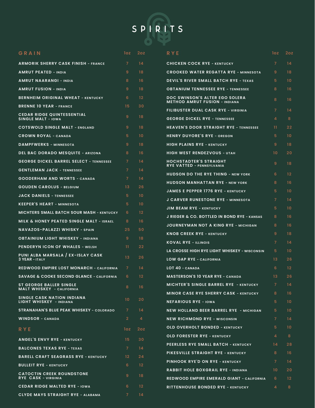

| GRAIN                                                          | loz               | 2oz               | RYE                                                                           | loz.            | 2oz             |
|----------------------------------------------------------------|-------------------|-------------------|-------------------------------------------------------------------------------|-----------------|-----------------|
| <b>ARMORIK SHERRY CASK FINISH - FRANCE</b>                     | $\overline{7}$    | 14                | <b>CHICKEN COCK RYE - KENTUCKY</b>                                            | $\overline{7}$  | 14              |
| <b>AMRUT PEATED - INDIA</b>                                    | 9                 | 18                | <b>CROOKED WATER REGATTA RYE - MINNESOTA</b>                                  | 9               | 18              |
| <b>AMRUT NAARANGI - INDIA</b>                                  | 8                 | 16                | <b>DEVIL'S RIVER SMALL BATCH RYE - TEXAS</b>                                  | 5               | 10              |
| <b>AMRUT FUSION - INDIA</b>                                    | 9                 | 18                | <b>OBTANIUM TENNESSEE RYE - TENNESSEE</b>                                     | 8               | 16              |
| <b>BERNHEIM ORIGINAL WHEAT - KENTUCKY</b>                      | 6                 | $12 \overline{ }$ | <b>DOC SWINSON'S ALTER EGO SOLERA</b><br><b>METHOD AMRUT FUSION - INDIANA</b> | 8               | 16              |
| <b>BRENNE 10 YEAR - FRANCE</b>                                 | 15                | 30                | FILIBUSTER DUAL CASK RYE - VIRGINIA                                           | $\overline{7}$  | 14              |
| <b>CEDAR RIDGE QUINTESSENTIAL</b><br><b>SINGLE MALT - IOWA</b> | 9                 | 18                | <b>GEORGE DICKEL RYE - TENNESSEE</b>                                          | 4               | 8               |
| <b>COTSWOLD SINGLE MALT - ENGLAND</b>                          | 9                 | 18                | <b>HEAVEN'S DOOR STRAIGHT RYE - TENNESSEE</b>                                 | 11.             | 22              |
| <b>CROWN ROYAL - CANADA</b>                                    | 5                 | 10                | <b>HENRY DUYORE'S RYE - OREGON</b>                                            | 5.              | 10 <sup>°</sup> |
| <b>DAMPFWERKS - MINNESOTA</b>                                  | 9                 | 18                | <b>HIGH PLAINS RYE - KENTUCKY</b>                                             | 9               | 18              |
| <b>DEL BAC DORADO MESQUITE - ARIZONA</b>                       | 8                 | 16                | <b>HIGH WEST RENDEZVOUS - UTAH</b>                                            | 10              | 20              |
| <b>GEORGE DICKEL BARREL SELECT - TENNESSEE</b>                 | $\overline{7}$    | 14                | <b>HOCHSTADTER'S STRAIGHT</b><br><b>RYE VATTED - PENNSYLVANIA</b>             | 9               | 18              |
| <b>GENTLEMAN JACK - TENNESSEE</b>                              | $\overline{7}$    | 14                | <b>HUDSON DO THE RYE THING - NEW YORK</b>                                     | 6               | 12              |
| <b>GOODERHAM AND WORTS - CANADA</b>                            | $\overline{7}$    | 14                | <b>HUDSON MANHATTAN RYE - NEW YORK</b>                                        | 8               | 16              |
| <b>GOUDEN CAROLUS - BELGIUM</b>                                | $13 \,$           | 26                | <b>JAMES E PEPPER 1776 RYE - KENTUCKY</b>                                     | 5               | 10 <sup>°</sup> |
| <b>JACK DANIELS - TENNESSEE</b>                                | 5                 | 10                | <b>J CARVER RUNESTONE RYE - MINNESOTA</b>                                     | $\overline{7}$  | 14              |
| <b>KEEPER'S HEART - MINNESOTA</b>                              | 5                 | 10                | <b>JIM BEAM RYE - KENTUCKY</b>                                                | 5               | 10              |
| <b>MICHTERS SMALL BATCH SOUR MASH - KENTUCKY</b>               | 6                 | 12                | <b>J RIEGER &amp; CO. BOTTLED IN BOND RYE - KANSAS</b>                        | 8               | 16              |
| <b>MILK &amp; HONEY PEATED SINGLE MALT - ISRAEL</b>            | 8                 | 16                | <b>JOURNEYMAN NOT A KING RYE - MICHIGAN</b>                                   | 8               | 16              |
| NAVAZOS-PALAZZI WHISKY - SPAIN                                 | 25                | 50                | <b>KNOB CREEK RYE - KENTUCKY</b>                                              | 9               | 18              |
| <b>OBTAINIUM LIGHT WHISKEY - INDIANA</b>                       | 9                 | 18                | <b>KOVAL RYE - ILLINOIS</b>                                                   | $\overline{7}$  | 14              |
| <b>PENDERYN ICON OF WHALES - WELSH</b>                         | 11                | 22                | LA CROSSE HIGH RYE LIGHT WHISKEY - WISCONSIN                                  | 5               | 10              |
| PUNI ALBA MARSALA / EX-ISLAY CASK<br><b>3 YEAR - ITALY</b>     | 13                | 26                | <b>LOW GAP RYE - CALIFORNIA</b>                                               | 13              | 26              |
| <b>REDWOOD EMPIRE LOST MONARCH - CALIFORNIA</b>                | $\overline{7}$    | 14                | LOT 40 - CANADA                                                               | 6               | 12              |
| <b>SAVAGE &amp; COOKE SECOND GLANCE - CALIFORNIA</b>           | 6                 | $12 \overline{ }$ | <b>MASTERSON'S 10 YEAR RYE - CANADA</b>                                       | 13              | 26              |
| <b>ST GEORGE BALLER SINGLE</b>                                 | 8                 | 16                | <b>MICHTER'S SINGLE BARREL RYE - KENTUCKY</b>                                 | 7               | 14              |
| <b>MALT WHISKEY - CALIFORNIA</b>                               |                   |                   | <b>MINOR CASE RYE SHERRY CASK - KENTUCKY</b>                                  | 8               | 16              |
| <b>SINGLE CASK NATION INDIANA</b><br>LIGHT WHISKEY - INDIANA   | 10 <sup>°</sup>   | 20                | <b>NEFARIOUS RYE - IOWA</b>                                                   | 5               | 10 <sup>°</sup> |
| <b>STRANAHAN'S BLUE PEAK WHISKEY - COLORADO</b>                | $\overline{7}$    | 14                | <b>NEW HOLLAND BEER BARREL RYE - MICHIGAN</b>                                 | 5               | 10 <sup>°</sup> |
| <b>WINDSOR - CANADA</b>                                        | $\overline{2}$    | $\overline{a}$    | <b>NEW RICHMOND RYE - WISCONSIN</b>                                           | 7 <sup>1</sup>  | 14              |
| <b>RYE</b>                                                     | loz.              | 2oz               | <b>OLD OVERHOLT BONDED - KENTUCKY</b>                                         | 5               | 10 <sup>°</sup> |
| <b>ANGEL'S ENVY RYE - KENTUCKY</b>                             | 15 <sup>15</sup>  | 30                | <b>OLD FORESTER RYE - KENTUCKY</b>                                            | $\overline{4}$  | 8               |
| <b>BALCONES TEXAS RYE - TEXAS</b>                              | $7^{\circ}$       | 14                | <b>PEERLESS RYE SMALL BATCH - KENTUCKY</b>                                    | 14              | 28              |
| <b>BARELL CRAFT SEAGRASS RYE - KENTUCKY</b>                    | $12 \overline{ }$ | 24                | PIKESVILLE STRAIGHT RYE - KENTUCKY                                            | 8               | 16              |
| <b>BULLEIT RYE - KENTUCKY</b>                                  | 6                 | 12 <sup>2</sup>   | <b>PINHOOK RYE'D ON RYE - KENTUCKY</b>                                        | $\overline{7}$  | 14              |
| <b>CATOCTIN CREEK ROUNDSTONE</b>                               | 9                 | 18                | <b>RABBIT HOLE BOXGRAIL RYE - INDIANA</b>                                     | 10 <sup>°</sup> | 20              |
| <b>RYE CASK - VIRGINIA</b>                                     |                   |                   | <b>REDWOOD EMPIRE EMERALD GIANT - CALIFORNIA</b>                              | 6               | 12 <sub>2</sub> |
| <b>CEDAR RIDGE MALTED RYE - IOWA</b>                           | 6                 | $12 \overline{ }$ | <b>RITTENHOUSE BONDED RYE - KENTUCKY</b>                                      | 4               | 8               |
| <b>CLYDE MAYS STRAIGHT RYE - ALABAMA</b>                       | $\overline{7}$    | 14                |                                                                               |                 |                 |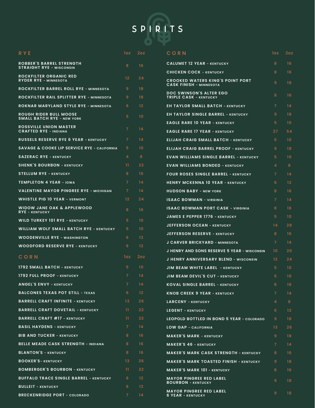

| <b>RYE</b>                                                         | loz            | 2 <sub>oz</sub> |
|--------------------------------------------------------------------|----------------|-----------------|
| <b>ROBBER'S BARREL STRENGTH</b><br><b>STRAIGHT RYE - WISCONSIN</b> | 8              | 16              |
| <b>ROCKFILTER ORGANIC RED</b><br><b>RYDER RYE - MINNESOTA</b>      | $12 -$         | 24              |
| <b>ROCKFILTER BARREL ROLL RYE - MINNESOTA</b>                      | -9             | 18              |
| ROCKFILTER RAIL SPLITTER RYE - MINNESOTA                           | 9              | 18              |
| ROKNAR MARYLAND STYLE RYE - MINNESOTA                              | 6              | 12              |
| <b>ROUGH RIDER BULL MOOSE</b><br><b>SMALL BATCH RYE - NEW YORK</b> | 5              | 10              |
| <b>ROSSVILLE UNION MASTER</b><br><b>CRAFTED RYE - INDIANA</b>      | 7              | 14              |
| <b>RUSSELS RESERVE RYE 6 YEAR - KENTUCKY</b>                       | $\overline{7}$ | 14              |
| <b>SAVAGE &amp; COOKE LIP SERVICE RYE - CALIFORNIA</b>             | 5              | 10              |
| <b>SAZERAC RYE - KENTUCKY</b>                                      | 4              | 8               |
| <b>SHENK'S BOURBON - KENTUCKY</b>                                  | 11             | 22              |
| <b>STELLUM RYE - KENTUCKY</b>                                      | 8              | 16              |
| <b>TEMPLETON 4 YEAR - IOWA</b>                                     | $\overline{7}$ | 14              |
| VALENTINE MAYOR PINGREE RYE - MICHIGAN                             | $\overline{7}$ | 14              |
| <b>WHISTLE PIG 10 YEAR - VERMONT</b>                               | 12             | 24              |
| <b>WIDOW JANE OAK &amp; APPLEWOOD</b><br><b>RYE - KENTUCKY</b>     | 8              | 16              |
| <b>WILD TURKEY 101 RYE - KENTUCKY</b>                              | 5              | 10              |
| WILLIAM WOLF SMALL BATCH RYE - KENTUCKY                            | 5              | 10              |
| <b>WOODENVILLE RYE - WASHINGTON</b>                                | 6              | 12              |
| <b>WOODFORD RESERVE RYE - KENTUCKY</b>                             | 6.             | 12              |
| CORN                                                               | 10z            | 2oz             |
| 1792 SMALL BATCH - KENTUCKY                                        | 5.             | 10              |
| <b>1792 FULL PROOF - KENTUCKY</b>                                  | $\overline{7}$ | 14              |
| <b>ANGEL'S ENVY - KENTUCKY</b>                                     | 7              | 14              |
| <b>BALCONES TEXAS POT STILL - TEXAS</b>                            | 6              | 12              |
| <b>BARRELL CRAFT INFINITE - KENTUCKY</b>                           | 13             | 26              |
| <b>BARRELL CRAFT DOVETAIL - KENTUCKY</b>                           | 11             | 22              |
| <b>BARRELL CRAFT #17 - KENTUCKY</b>                                | 11             | 22              |
| <b>BASIL HAYDENS - KENTUCKY</b>                                    | 7              | 14              |
| <b>BIB AND TUCKER - KENTUCKY</b>                                   | 8              | 16              |
| <b>BELLE MEADE CASK STRENGTH - INDIANA</b>                         | 8              | 16              |
| <b>BLANTON'S - KENTUCKY</b>                                        | 8              | 16              |
| <b>BOOKER'S- KENTUCKY</b>                                          | 13             | 26              |
| <b>BOMBERGER'S BOURBON - KENTUCKY</b>                              | 11             | 22              |
| <b>BUFFALO TRACE SINGLE BARREL - KENTUCKY</b>                      | 6              | 12              |
| <b>BULLEIT - KENTUCKY</b>                                          | 6              | 12              |
| <b>BRECKENRIDGE PORT - COLORADO</b>                                | 7              | 14              |

| CORN                                                                      | loz | 2oz |
|---------------------------------------------------------------------------|-----|-----|
| <b>CALUMET 12 YEAR - KENTUCKY</b>                                         | 8   | 16  |
| <b>CHICKEN COCK - KENTUCKY</b>                                            | 8   | 16  |
| <b>CROOKED WATERS KING'S POINT PORT</b><br><b>CASK FINISH - MINNESOTA</b> | 9   | 18  |
| <b>DOC SWINSON'S ALTER EGO</b><br><b>TRIPLE CASK - KENTUCKY</b>           | 8   | 16  |
| <b>EH TAYLOR SMALL BATCH - KENTUCKY</b>                                   | 7   | 14  |
| <b>EH TAYLOR SINGLE BARREL - KENTUCKY</b>                                 | 9   | 18  |
| <b>EAGLE RARE 10 YEAR - KENTUCKY</b>                                      | 5   | 10  |
| <b>EAGLE RARE 17 YEAR - KENTUCKY</b>                                      | 27  | 54  |
| <b>ELIJAH CRAIG SMALL BATCH - KENTUCKY</b>                                | 5   | 10  |
| <b>ELIJAH CRAIG BARREL PROOF - KENTUCKY</b>                               | 9   | 18  |
| <b>EVAN WILLIAMS SINGLE BARREL - KENTUCKY</b>                             | 5   | 10  |
| <b>EVAN WILLIAMS BONDED - KENTUCKY</b>                                    | 4   | 8   |
| <b>FOUR ROSES SINGLE BARREL - KENTUCKY</b>                                | 7   | 14  |
| <b>HENRY MCKENNA 10 YEAR - KENTUCKY</b>                                   | 6   | 12  |
| <b>HUDSON BABY - NEW YORK</b>                                             | 8   | 16  |
| <b>ISAAC BOWMAN - VIRGINIA</b>                                            | 7   | 14  |
| <b>ISAAC BOWMAN PORT CASK - VIRGINIA</b>                                  | 8   | 16  |
| <b>JAMES E PEPPER 1776 - KENTUCKY</b>                                     | 5   | 10  |
| <b>JEFFERSON OCEAN - KENTUCKY</b>                                         | 14  | 28  |
| <b>JEFFERSON RESERVE - KENTUCKY</b>                                       | 8   | 16  |
| J CARVER BRICKYARD - MINNESOTA                                            | 7   | 14  |
| <b>J HENRY AND SONS RESERVE 5 YEAR - WISCONSIN</b>                        | 10  | 20  |
| J HENRY ANNIVERSARY BLEND - WISCONSIN                                     | 12  | 24  |
| <b>JIM BEAM WHITE LABEL - KENTUCKY</b>                                    | 5   | 10  |
| <b>JIM BEAM DEVIL'S CUT - KENTUCKY</b>                                    | 5   | 10  |
| <b>KOVAL SINGLE BARREL - KENTUCKY</b>                                     | 8   | 16  |
| <b>KNOB CREEK 9 YEAR - KENTUCKY</b>                                       | 7   | 14  |
| <b>LARCENY - KENTUCKY</b>                                                 | 4   | 8   |
| <b>LEGENT - KENTUCKY</b>                                                  | 6   | 12  |
| LEOPOLD BOTTLED IN BOND 5 YEAR - COLORADO                                 | 9   | 18  |
| <b>LOW GAP - CALIFORNIA</b>                                               | 13  | 26  |
| <b>MAKER'S MARK - KENTUCKY</b>                                            | 9   | 18  |
| <b>MAKER'S 46 - KENTUCKY</b>                                              | 7   | 14  |
| <b>MAKER'S MARK CASK STRENGTH - KENTUCKY</b>                              | 8   | 16  |
| <b>MAKER'S MARK TOASTED FINISH - KENTUCKY</b>                             | 9   | 18  |
| <b>MAKER'S MARK 101 - KENTUCKY</b>                                        | 8   | 16  |
| <b>MAYOR PINGREE RED LABEL</b><br><b>BOURBON - KENTUCKY</b>               | 9   | 18  |
| <b>MAYOR PINGREE RED LABEL</b><br>6 YEAR - KENTUCKY                       | 9   | 18  |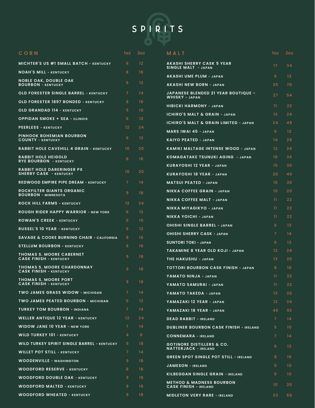

| CORN                                                               | loz.            | 2oz               | MALT                                                                | <b>loz</b>        | 2 <sub>oz</sub>         |
|--------------------------------------------------------------------|-----------------|-------------------|---------------------------------------------------------------------|-------------------|-------------------------|
| <b>MICHTER'S US #1 SMALL BATCH - KENTUCKY</b>                      | 6               | 12                | <b>AKASHI SHERRY CASK 5 YEAR</b>                                    | 17                | 34                      |
| <b>NOAH'S MILL - KENTUCKY</b>                                      | 8               | 16                | SINGLE MALT - JAPAN                                                 |                   |                         |
| <b>NOBLE OAK, DOUBLE OAK</b><br><b>BOURBON - KENTUCKY</b>          | 6               | 12                | <b>AKASHI UME PLUM - JAPAN</b><br><b>AKASHI NEW BORN - JAPAN</b>    | 6<br>35           | $12 \overline{ }$<br>70 |
| <b>OLD FORESTER SINGLE BARREL - KENTUCKY</b>                       | $\overline{7}$  | 14                | <b>JAPANESE BLENDED 21 YEAR BOUTIQUE -</b>                          |                   |                         |
| <b>OLD FORESTER 1897 BONDED - KENTUCKY</b>                         | 8               | 16                | <b>WHISKY - JAPAN</b>                                               | 27                | 54                      |
| <b>OLD GRANDAD 114 - KENTUCKY</b>                                  | 5               | 10 <sup>°</sup>   | <b>HIBICKI HARMONY - JAPAN</b>                                      | 11                | 22                      |
|                                                                    | 6               | $12 \overline{ }$ | <b>ICHIRO'S MALT &amp; GRAIN - JAPAN</b>                            | $12 \overline{ }$ | 24                      |
| <b>OPPIDAN SMOKE + SEA - ILLINOIS</b>                              | 12 <sup>2</sup> | 24                | <b>ICHIRO'S MALT &amp; GRAIN LIMITED - JAPAN</b>                    | 24                | 48                      |
| <b>PEERLESS - KENTUCKY</b><br><b>PINHOOK BOHEMIAN BOURBON</b>      |                 |                   | <b>MARS IWAI 45 - JAPAN</b>                                         | 6                 | $12 \overline{ }$       |
| <b>COUNTY - KENTUCKY</b>                                           | 6               | 12                | <b>KAIYO PEATED - JAPAN</b>                                         | 14                | 28                      |
| <b>RABBIT HOLE CAVEHILL 4 GRAIN - KENTUCKY</b>                     | 10 <sup>°</sup> | 20                | <b>KAMIKI MALTAGE INTENSE WOOD - JAPAN</b>                          | $12 \overline{ }$ | 24                      |
| <b>RABBIT HOLE HEIGOLD</b><br><b>RYE BOURBON - KENTUCKY</b>        | 8               | 16                | KOMAGATAKE TSUNUKI AGING - JAPAN                                    | 18                | 36                      |
| <b>RABBIT HOLE DARERINGER PX</b>                                   |                 |                   | <b>KURAYOSHI 12 YEAR - JAPAN</b>                                    | 15                | 30                      |
| <b>SHERRY CASK - KENTUCKY</b>                                      | 10 <sup>°</sup> | 20                | KURAYOSHI 18 YEAR - JAPAN                                           | 20                | 40                      |
| <b>REDWOOD EMPIRE PIPE DREAM - KENTUCKY</b>                        | $\overline{7}$  | 14                | <b>MATSUI PEATED - JAPAN</b>                                        | 15                | 30                      |
| <b>ROCKFILTER GIANTS ORGANIC</b><br><b>BOURBON - MINNESOTA</b>     | 9               | 18                | <b>NIKKA COFFEE GRAIN - JAPAN</b>                                   | 10 <sup>°</sup>   | 20                      |
| <b>ROCK HILL FARMS - KENTUCKY</b>                                  | 12 <sup>2</sup> | 24                | <b>NIKKA COFFEE MALT - JAPAN</b>                                    | 11                | 22                      |
| <b>ROUGH RIDER HAPPY WARRIOR - NEW YORK</b>                        | 6               | 12                | NIKKA MIYAGIKYO - JAPAN                                             | $\mathbf{11}$     | 22                      |
| <b>ROWAN'S CREEK - KENTUCKY</b>                                    | 5               | 10 <sup>°</sup>   | <b>NIKKA YOICHI - JAPAN</b>                                         | $\mathbf{11}$     | 22                      |
| <b>RUSSEL'S 10 YEAR - KENTUCKY</b>                                 | 6               | $12 \overline{ }$ | <b>OHISHI SINGLE BARREL - JAPAN</b>                                 | 6                 | 12 <sup>2</sup>         |
| <b>SAVAGE &amp; COOKE BURNING CHAIR - CALIFORNIA</b>               | 8               | 16                | <b>OHISHI SHERRY CASK - JAPAN</b>                                   | 7 <sup>1</sup>    | 14                      |
| <b>STELLUM BOURBON - KENTUCKY</b>                                  | 8               | 16                | <b>SUNTORI TOKI - JAPAN</b>                                         | 6                 | 12                      |
| <b>THOMAS S. MOORE CABERNET</b>                                    |                 |                   | <b>TAKAMINE 8 YEAR OLD KOJI - JAPAN</b>                             | $12 \overline{ }$ | 24                      |
| <b>CASK FINISH - KENTUCKY</b>                                      | 9               | 18                | THE HAKUSHU - JAPAN                                                 | 13                | 26                      |
| <b>THOMAS S. MOORE CHARDONNAY</b><br><b>CASK FINISH - KENTUCKY</b> | 9               | 18                | <b>TOTTORI BOURBON CASK FINISH - JAPAN</b>                          | 8                 | 16                      |
| <b>THOMAS S. MOORE PORT</b>                                        | 9 <sub>o</sub>  | 18                | YAMATO NINJA - JAPAN                                                | 11                | 22                      |
| <b>CASK FINISH - KENTUCKY</b>                                      |                 |                   | YAMATO SAMURAI - JAPAN                                              | $\overline{11}$   | 22 <sub>2</sub>         |
| <b>TWO JAMES GRASS WIDOW - MICHIGAN</b>                            | $\overline{7}$  | 14                | YAMATO TAKEDA - JAPAN                                               | 13                | 26                      |
| <b>TWO JAMES PEATED BOURBON - MICHIGAN</b>                         | 6               | $12 \overline{ }$ | YAMAZAKI 12 YEAR - JAPAN                                            | $12 \overline{ }$ | 24                      |
| <b>TURKEY TOM BOURBON - INDIANA</b>                                | $\mathcal{I}$   | 14                | YAMAZAKI 18 YEAR - JAPAN                                            | 46                | 92                      |
| <b>WELLER ANTIQUE 12 YEAR - KENTUCKY</b>                           | 12 <sup>2</sup> | 24                | <b>DEAD RABBIT - IRELAND</b>                                        | $\overline{7}$    | 14                      |
| <b>WIDOW JANE 10 YEAR - NEW YORK</b>                               | $\overline{7}$  | 14                | <b>DUBLINER BOURBON CASK FINISH - IRELAND</b>                       | 5                 | 10 <sup>°</sup>         |
| <b>WILD TURKEY 101 - KENTUCKY</b>                                  | 4               | 8                 | <b>CONNEMARA - IRELAND</b>                                          | 7 <sup>1</sup>    | 14                      |
| <b>WILD TURKEY SPIRIT SINGLE BARREL - KENTUCKY</b>                 | 9               | 18                | <b>GOTINORE DISTILLERS &amp; CO.</b><br><b>NATTERJACK - IRELAND</b> | 6                 | $12 \overline{ }$       |
| <b>WILLET POT STILL - KENTUCKY</b>                                 | $\mathcal{I}$   | 14                | <b>GREEN SPOT SINGLE POT STILL - IRELAND</b>                        | 8                 | 16                      |
| <b>WOODENVILLE - WASHINGTON</b>                                    | 9               | 18                | <b>JAMESON - IRELAND</b>                                            | 5                 | 10 <sup>°</sup>         |
| <b>WOODFORD RESERVE - KENTUCKY</b>                                 | 8               | 16                | <b>KILBEGGAN SINGLE GRAIN - IRELAND</b>                             | 5                 | 10 <sup>°</sup>         |
| <b>WOODFORD DOUBLE OAK - KENTUCKY</b>                              | 9               | 18                | <b>METHOD &amp; MADNESS BOURBON</b>                                 |                   |                         |
| <b>WOODFORD MALTED - KENTUCKY</b>                                  | 9               | 18                | <b>CASK FINISH - IRELAND</b>                                        | 10 <sup>°</sup>   | 20                      |
| <b>WOODFORD WHEATED - KENTUCKY</b>                                 | 9.              | 18                | <b>MIDLETON VERY RARE - IRELAND</b>                                 | 33                | 66                      |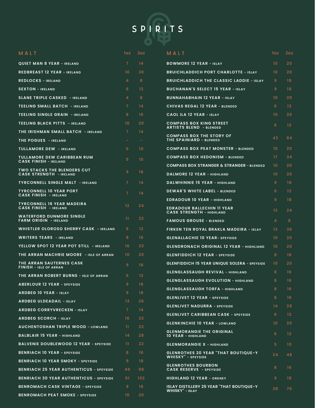

| MALT                                                            | loz.            | 2oz               | MALT                                                                 | loz.            | 2oz               |
|-----------------------------------------------------------------|-----------------|-------------------|----------------------------------------------------------------------|-----------------|-------------------|
| <b>QUIET MAN 8 YEAR - IRELAND</b>                               | $\overline{7}$  | 14                | <b>BOWMORE 12 YEAR - ISLAY</b>                                       | 10              | 20                |
| <b>REDBREAST 12 YEAR - IRELAND</b>                              | 10 <sup>°</sup> | 20                | <b>BRUICHLADDICH PORT CHARLOTTE - ISLAY</b>                          | 10 <sup>°</sup> | 20                |
| <b>REDLOCKS - IRELAND</b>                                       | $\overline{a}$  | 8                 | <b>BRUICHLADDICH THE CLASSIC LADDIE - ISLAY</b>                      | 9               | 18                |
| <b>SEXTON - IRELAND</b>                                         | 6               | 12                | <b>BUCHANAN'S SELECT 15 YEAR - ISLAY</b>                             | 9               | 18                |
| <b>SLANE TRIPLE CASKED - IRELAND</b>                            | $\overline{a}$  | 8                 | <b>BUNNAHABHAIN 12 YEAR - ISLAY</b>                                  | 10 <sup>°</sup> | 20                |
| <b>TEELING SMALL BATCH - IRELAND</b>                            | 7 <sup>1</sup>  | 14                | <b>CHIVAS REGAL 12 YEAR - BLENDED</b>                                | 6               | 12                |
| TEELING SINGLE GRAIN - IRELAND                                  | 8               | 16                | <b>CAOL ILA 12 YEAR - ISLAY</b>                                      | 10 <sup>°</sup> | 20                |
| <b>TEELING BLACK PITTS - IRELAND</b>                            | 10 <sup>°</sup> | 20                | <b>COMPASS BOX KING STREET</b>                                       | 6               | $12 \overline{ }$ |
| THE IRISHMAN SMALL BATCH - IRELAND                              | 7 <sup>1</sup>  | 14                | <b>ARTISTS BLEND - BLENDED</b>                                       |                 |                   |
| <b>THE POGUES - IRELAND</b>                                     | $\sim$          | $\sim$            | <b>COMPASS BOX THE STORY OF</b><br>THE SPAINIARD - BLENDED           | 42              | 84                |
| <b>TULLAMORE DEW - IRELAND</b>                                  | 5.              | 10                | <b>COMPASS BOX PEAT MONSTER - BLENDED</b>                            | 10 <sup>°</sup> | 20                |
| <b>TULLAMORE DEW CARIBBEAN RUM</b>                              | 5 <sup>1</sup>  | 10                | <b>COMPASS BOX HEDONISM - BLENDED</b>                                | $17 \,$         | 34                |
| <b>CASK FINISH - IRELAND</b>                                    |                 |                   | <b>COMPASS BOX STRANGER &amp; STRANGER - BLENDED</b>                 | 10 <sup>°</sup> | 20                |
| TWO STACKS THE BLENDERS CUT<br><b>CASK STRENGTH - IRELAND</b>   | 9               | 18                | <b>DALMORE 12 YEAR - HIGHLAND</b>                                    | 10 <sup>°</sup> | 20                |
| <b>TYRCONNELL SINGLE MALT - IRELAND</b>                         | $\overline{7}$  | 14                | DALWHINNIE 15 YEAR - HIGHLAND                                        | 9               | 18                |
| <b>TYRCONNELL 10 YEAR PORT</b><br><b>CASK FINISH - IRELAND</b>  | $\overline{7}$  | 14                | DEWAR'S WHITE LABEL - BLENDED                                        | 6               | 12                |
| <b>TYRCONNELL 16 YEAR MADEIRA</b>                               |                 |                   | <b>EDRADOUR 10 YEAR - HIGHLAND</b>                                   | 9               | 18                |
| <b>CASK FINISH - IRELAND</b>                                    | 12              | 24                | <b>EDRADOUR BALLECHIN 11 YEAR</b><br><b>CASK STRENGTH - HIGHLAND</b> | 12 <sup>2</sup> | 24                |
| <b>WATERFORD DUNMORE SINGLE</b><br><b>FARM ORIGIN - IRELAND</b> | $\mathbf{11}$   | $22 \overline{ }$ | <b>FAMOUS GROUSE - BLENDED</b>                                       | $\overline{4}$  | 8                 |
| <b>WHISTLER OLOROSO SHERRY CASK - IRELAND</b>                   | 6               | 12                | FIRKEN TEN ROYAL BRAKLA MADEIRA - ISLAY                              | 13 <sup>°</sup> | 26                |
| <b>WRITERS TEARS - IRELAND</b>                                  | 8               | 16                | <b>GLENALLACHIE 10 YEAR- SPEYSIDE</b>                                | 10 <sup>°</sup> | 20                |
| YELLOW SPOT 12 YEAR POT STILL - IRELAND                         | 16              | 32 <sub>2</sub>   | <b>GLENDRONACH ORIGINAL 12 YEAR - HIGHLIAND</b>                      | 10 <sup>°</sup> | 20                |
| THE ARRAN MACHRIE MOORE - ISLE OF ARRAN                         | 10 <sup>°</sup> | 20                | <b>GLENFIDDICH 12 YEAR - SPEYSIDE</b>                                | 8               | 16                |
| THE ARRAN SAUTERNES CASK<br><b>FINISH - ISLE OF ARRAN</b>       | 9               | 18                | <b>GLENFIDDICH 15 YEAR UNIQUE SOLERA - SPEYSIDE</b>                  | 10 <sup>°</sup> | 20                |
| THE ARRAN ROBERT BURNS - ISLE OF ARRAN                          | 6               | 12                | <b>GLENGLASSAUGH REVIVAL - HIGHLAND</b>                              | 8               | 16                |
| <b>ABERLOUR 12 YEAR - SPEYSIDE</b>                              | 9               | 18                | GLENGLASSAUGH EVOLUTION - HIGHLAND                                   | 8 <sup>1</sup>  | 16                |
| <b>ARDBEG 10 YEAR - ISLAY</b>                                   | 9               | 18                | <b>GLENGLASSAUGH TORFA - HIGHLAND</b>                                | 8               | 16                |
| <b>ARDBEG ULDEADAIL - ISLAY</b>                                 | 13              | 26                | <b>GLENLIVET 12 YEAR - SPEYSIDE</b>                                  | 8               | 16                |
| <b>ARDBEG CORRYVRECKEN - ISLAY</b>                              | $\overline{7}$  | 14                | <b>GLENLIVET NADURRA - SPEYSIDE</b>                                  | 14              | 28                |
| <b>ARDBEG SCORCH - ISLAY</b>                                    | 16              | 32 <sub>2</sub>   | <b>GLENLIVET CARIBBEAN CASK - SPEYSIDE</b>                           | 6               | 12                |
| <b>AUCHENTOSHAN TRIPLE WOOD - LOWLAND</b>                       | $\mathbf{11}$   | 22 <sub>2</sub>   | <b>GLENKINCHIE 10 YEAR - LOWLAND</b>                                 | 10 <sup>°</sup> | 20                |
| <b>BALBLAIR 15 YEAR - HIGHLAND</b>                              | 14              | 28                | <b>GLENMORANGIE THE ORIGINAL</b><br>10 YEAR - HIGHLAND               | 6               | 12                |
| <b>BALVENIE DOUBLEWOOD 12 YEAR - SPEYSIDE</b>                   | $\mathbf{11}$   | 22                | <b>GLENMORANGIE X - HIGHLAND</b>                                     | 5               | 10 <sup>°</sup>   |
| <b>BENRIACH 10 YEAR - SPEYSIDE</b>                              | 8               | 16                | <b>GLENROTHES 20 YEAR "THAT BOUTIQUE-Y</b>                           | 24              | 48                |
| <b>BENRIACH 10 YEAR SMOKY - SPEYSIDE</b>                        | 9               | 18                | <b>WHISKY"</b> - SPEYSIDE                                            |                 |                   |
| <b>BENRIACH 25 YEAR AUTHENTICUS - SPEYSIDE</b>                  | 49              | 98                | <b>GLENROTHES BOURBON</b><br><b>CASK RESERVE - SPEYSIDE</b>          | 8               | 16                |
| <b>BENRIACH 30 YEAR AUTHENTICUS - SPEYSIDE</b>                  | 51              | 102               | <b>HIGHLAND 12 YEAR - ORKNEY</b>                                     | 9               | 18                |
| <b>BENROMACH CASK VINTAGE - SPEYSIDE</b>                        | 9               | 18                | <b>ISLAY DISTILLERY 25 YEAR "THAT BOUTIQUE-Y"</b>                    | 38              | 76                |
| <b>BENROMACH PEAT SMOKE - SPEYSIDE</b>                          | $10-10$         | 20                | <b>WHISKY" - ISLAY</b>                                               |                 |                   |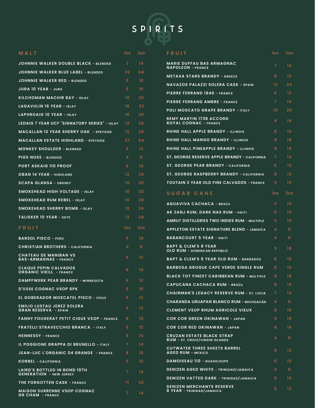# SPIRITS

| MALT                                                                  | 1oz | 2oz               |
|-----------------------------------------------------------------------|-----|-------------------|
| JOHNNIE WALKER DOUBLE BLACK - BLENDED                                 | 7   | 14                |
| JOHNNIE WALKER BLUE LABEL - BLENDED                                   | 32  | 64                |
| JOHNNIE WALKER RED - BLENDED                                          | 5   | 10                |
| <b>JURA 10 YEAR - JURA</b>                                            | 8   | 16                |
| <b>KILCHOMAN MACHIR BAY - ISLAY</b>                                   | 10  | 20                |
| <b>LAGAVULIN 16 YEAR - ISLAY</b>                                      | 16  | 32                |
| <b>LAPHROAIG 10 YEAR - ISLAY</b>                                      | 10  | 20                |
| LEDAIG 7 YEAR UCF "SIGNATORY SERIES" - ISLAY                          | 12  | 24                |
| <b>MACALLAN 12 YEAR SHERRY OAK - SPEYSIDE</b>                         | 12  | 24                |
| <b>MACALLAN ESTATE HIGHLAND - SPEYSIDE</b>                            | 27  | 54                |
| <b>MONKEY SHOULDER - BLENDED</b>                                      | 6   | 12                |
| <b>PIGS NOSE - BLENDED</b>                                            | 4   | 8                 |
| <b>PORT ASKAIG 110 PROOF</b>                                          | 8   | 16                |
| <b>OBAN 14 YEAR - HIGHLAND</b>                                        | 12  | 24                |
| <b>SCAPA GLANSA - ORKNEY</b>                                          | 10  | 20                |
| <b>SMOKEHEAD HIGH VOLTAGE - ISLAY</b>                                 | 10  | 20                |
| <b>SMOKEHEAD RUM REBEL - ISLAY</b>                                    | 10  | 20                |
| <b>SMOKEHEAD SHERRY BOMB - ISLAY</b>                                  | 12  | 24                |
|                                                                       |     | 24                |
| <b>TALISKER 10 YEAR - SKYE</b>                                        | 12  |                   |
| FRUIT                                                                 | loz | <u> 20z</u>       |
| <b>BARSOL PISCO - PERU</b>                                            | 5   | 10                |
| <b>CHRISTIAN BROTHERS - CALIFORNIA</b>                                | 4   | 8                 |
| <b>CHATEAU DE MANIBAN VS</b><br><b>BAS-ARMAGNAE - FRANCE</b>          | 6   | 12                |
| <b>CLAQUE PEPIN CALVADOS</b><br><b>ORGANIC VIEILL - FRANCE</b>        | 8   | 16                |
| DAMPFWERK PEAR BRANDY - MINNESOTA                                     | 6   | $12 \overline{ }$ |
| <b>D'USSE COGNAC VSOP 6PK</b>                                         | 8   | 16                |
| <b>EL GOBERADOR MOSCATEL PISCO - CHILE</b>                            | 6   | 12                |
| <b>EMILIO LUSTAU JEREZ SOLERA</b><br><b>GRAN RESERVA - SPAIN</b>      | 6   | 12                |
| FANNY FOUGERAT PETIT CIGUE VSOP - FRANCE                              | 8   | 16                |
| <b>FRATELLI STRAVECCHIO BRANCA - ITALY</b>                            | 6   | 12                |
| <b>HENNESSY - FRANCE</b>                                              | 8   | 16                |
| <b>IL POGGIONE GRAPPA DI BRUNELLO - ITALY</b>                         | 7   | 14                |
| JEAN-LUC L'ORGANIC 04 GRANDE - FRANCE                                 | 8   | 16                |
| <b>KORBEL - CALIFORNIA</b>                                            | 5   | 10                |
| <b>LAIRD'S BOTTLED IN BOND 10TH</b><br><b>GENERATION - NEW JERSEY</b> | 7   | 14                |
| <b>THE FORGOTTEN CASK - FRANCE</b>                                    | 11  | 22                |

| FRUIT                                                                     | loz            | 2oz |
|---------------------------------------------------------------------------|----------------|-----|
| <b>MARIE DUFFAU BAS ARMAGNAC</b><br><b>NAPOLEON - FRANCE</b>              | 7              | 14  |
| <b>METAXA STARS BRANDY - GREECE</b>                                       | 6              | 12  |
| NAVAZOS PALAZZI SOLERA CASK - SPAIN                                       | 12             | 24  |
| PIERRE FERRAND 1840 - FRANCE                                              | 6              | 12  |
| PIERRE FERRAND AMBRE - FRANCE                                             | 7              | 14  |
| <b>POLI MOSCATO GRAPE BRANDY - ITALY</b>                                  | 10             | 20  |
| <b>REMY MARTIN 1738 ACCORD</b><br><b>ROYAL COGNAC - FRANCE</b>            | 9              | 18  |
| <b>RHINE HALL APPLE BRANDY - ILLINOIS</b>                                 | 8              | 16  |
| <b>RHINE HALL MANGO BRANDY - ILLINOIS</b>                                 | 9              | 18  |
| <b>RHINE HALL PINEAPPLE BRANDY - ILLINOIS</b>                             | 9              | 18  |
| <b>ST. GEORGE RESERVE APPLE BRANDY - CALIFORNIA</b>                       | 7              | 14  |
| <b>ST. GEORGE PEAR BRANDY - CALIFORNIA</b>                                | 6              | 12  |
| ST. GEORGE RASPBERRY BRANDY - CALIFORNIA                                  | 6              | 12  |
| TOUTAIN 3 YEAR OLD FINE CALVADOS - FRANCE                                 | 5              | 10  |
| SUGAR CANE                                                                | loz            | 2oz |
| <b>AGUAVIVA CACHACA - BRAZIL</b>                                          | 5              | 10  |
| AK ZANJ RUM, DARK NAS RUM - HAITI                                         | 5              | 10  |
| <b>AMRUT DISTILLERIES TWO INDIES RUM - MULTIPLE</b>                       | 5              | 10  |
| APPLETON ESTATE SIGNATURE BLEND - JAMAICA                                 | 4              | 8   |
| <b>BABANCOURT 5 YEAR - HAITI</b>                                          | 4              | 8   |
| <b>BAPT &amp; CLEM'S 8 YEAR</b><br><b>OLD RUM - DOMINCAN REPUBLIC</b>     | 9              | 18  |
| <b>BAPT &amp; CLEM'S 5 YEAR OLD RUM - BARBADOS</b>                        | 8              | 16  |
| <b>BARBOSA GROGUE CAPE VERDE SINGLE RUM</b>                               | 8              | 16  |
| <b>BLACK TOT FINEST CARIBBEAN RUM - MULTIPLE</b>                          | 9              | 18  |
| <b>CAPUCANA CACHACA RUM - BRAZIL</b>                                      | 8              | 16  |
| <b>CHAIRMAN'S LEGACY RESERVE RUM - ST. LUCIA</b>                          | $\overline{7}$ | 14  |
| <b>CHARANDA URUAPAN BLANCO RUM - MICHOACÁN</b>                            | 4              | 8   |
| <b>CLEMENT VSOP RHUM AGRICOLE VIEUX</b>                                   | 8              | 16  |
| <b>COR COR GREEN OKINAWAN - JAPAN</b>                                     | 9              | 18  |
| <b>COR COR RED OKINAWAN - JAPAN</b>                                       | 8              | 16  |
| <b>CRUZAN ESTATE BLACK STRAP</b><br><b>RUM - ST. CROIX/VIRGIN ISLANDS</b> | 4              | 8   |
| <b>CUTWATER THREE SHEETS BARREL</b><br><b>AGED RUM - MEXICO</b>           | 6              | 12  |
| <b>DAMOISEAU 110 - GUADELOUPE</b>                                         | 6              | 12  |
| <b>DENIZEN AGED WHITE - TRINIDAD/JAMAICA</b>                              | 4              | 8   |
| <b>DENIZEN VATTED DARK - TRINIDAD/JAMAICA</b>                             | 5.             | 10  |
| <b>DENIZEN MERCHANTS RESERVE</b><br>8 YEAR - TRINIDAD/JAMAICA             | 6              | 12  |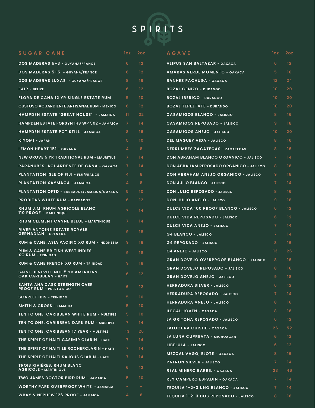

| SUGAR CANE                                                                   | loz.           | 2oz               | <b>AGAVE</b>                                   | <b>loz</b>      | 2oz               |
|------------------------------------------------------------------------------|----------------|-------------------|------------------------------------------------|-----------------|-------------------|
| <b>DOS MADERAS 5+3 - GUYANA/FRANCE</b>                                       | 6              | 12                | ALIPUS SAN BALTAZAR - OAXACA                   | 6               | $12 \overline{ }$ |
| DOS MADERAS 5+5 - GUYANA/FRANCE                                              | 6.             | $12 \overline{ }$ | <b>AMARAS VERDE MOMENTO - OAXACA</b>           | 5               | 10 <sup>°</sup>   |
| <b>DOS MADERAS LUXAS - GUYANA/FRANCE</b>                                     | 8              | 16                | <b>BANHEZ PACHUGA - OAXACA</b>                 | 12 <sup>2</sup> | 24                |
| <b>FAIR - BELIZE</b>                                                         | 6              | $12 \overline{ }$ | <b>BOZAL CENIZO - DURANGO</b>                  | 10 <sup>°</sup> | 20                |
| <b>FLORA DE CANA 12 YR SINGLE ESTATE RUM</b>                                 | 5              | 10                | <b>BOZAL IBERICO - DURANGO</b>                 | 10 <sup>°</sup> | 20                |
| <b>GUSTOSO AGUARDIENTE ARTISANAL RUM - MEXICO</b>                            | 6              | 12                | <b>BOZAL TEPEZTATE - DURANGO</b>               | 10 <sup>°</sup> | 20                |
| HAMPDEN ESTATE "GREAT HOUSE" - JAMAICA                                       | 11             | 22                | <b>CASAMIGOS BLANCO - JALISCO</b>              | 8               | 16                |
| <b>HAMPDEN ESTATE FORSYNTHS WP 502 - JAMAICA</b>                             | $\overline{7}$ | 14                | <b>CASAMIGOS REPOSADO - JALISCO</b>            | 9               | 18                |
| <b>HAMPDEN ESTATE POT STILL - JAMAICA</b>                                    | 8              | 16                | <b>CASAMIGOS ANEJO - JALISCO</b>               | 10 <sup>°</sup> | 20                |
| <b>KIYOMI - JAPAN</b>                                                        | $5^{\circ}$    | 10                | <b>DEL MAGUEY VIDA - JALISCO</b>               | 8               | 16                |
| <b>LEMON HEART 151 - GUYANA</b>                                              | $\overline{a}$ | 8                 | <b>DERRUMBES ZACATECAS - ZACATECAS</b>         | 8               | 16                |
| <b>NEW GROVE 5 YR TRADITIONAL RUM - MAURITIUS</b>                            | $\overline{7}$ | 14                | <b>DON ABRAHAM BLANCO ORGANICO - JALISCO</b>   | 7 <sup>1</sup>  | 14                |
| PARANUBES, AGUARDENTE DE CAÑA - OAXACA                                       | $\overline{7}$ | 14                | <b>DON ABRAHAM REPOSADO ORGANICO - JALISCO</b> | 8               | 16                |
| <b>PLANTATION ISLE OF FIJI - FIJI/FRANCE</b>                                 | 4              | 8                 | <b>DON ABRAHAM ANEJO ORGANICO - JALISCO</b>    | 9               | 18                |
| PLANTATION XAYMACA - JAMAICA                                                 | 4              | 8                 | <b>DON JULIO BLANCO - JALISCO</b>              | $\overline{7}$  | 14                |
| PLANTATION OFTD - BARBADOS/JAMAICA/GUYANA                                    | 5              | 10                | <b>DON JULIO REPOSADO - JALISCO</b>            | 8               | 16                |
| <b>PROBITAS WHITE RUM - BARBADOS</b>                                         | 6              | $12 \overline{ }$ | <b>DON JULIO ANEJO - JALISCO</b>               | 9               | 18                |
| RHUM J.M, RHUM AGRICOLE BLANC<br><b>110 PROOF - MARTINIQUE</b>               | $\overline{7}$ | 14                | <b>DULCE VIDA 100 PROOF BLANCO - JALISCO</b>   | 6               | $12 \overline{ }$ |
| <b>RHUM CLEMENT CANNE BLEUE - MARTINIQUE</b>                                 | $\overline{7}$ | 14                | <b>DULCE VIDA REPOSADO - JALISCO</b>           | 6               | $12 \overline{ }$ |
| <b>RIVER ANTOINE ESTATE ROYALE</b>                                           |                |                   | <b>DULCE VIDA ANEJO - JALISCO</b>              | 7 <sup>1</sup>  | 14                |
| <b>GERNADIAN - GRENADA</b>                                                   | 9              | 18                | <b>G4 BLANCO - JALISCO</b>                     | $\overline{7}$  | 14                |
| RUM & CANE, ASIA PACIFIC XO RUM - INDONESIA                                  | 9              | 18                | <b>G4 REPOSADO - JALISCO</b>                   | 8               | 16                |
| <b>RUM &amp; CANE BRITISH WEST INDIES</b><br><b>XO RUM - TRINIDAD</b>        | 9              | 18                | <b>G4 ANEJO - JALISCO</b>                      | 13              | 26                |
| <b>RUM &amp; CANE FRENCH XO RUM - TRINIDAD</b>                               | 9              | 18                | <b>GRAN DOVEJO OVERPROOF BLANCO - JALISCO</b>  | 8               | 16                |
| <b>SAINT BENEVOLENCE 5 YR AMERICAN</b>                                       | 6              | 12                | <b>GRAN DOVEJO REPOSADO - JALISCO</b>          | 8               | 16                |
| <b>OAK CARIBBEAN - HAITI</b>                                                 |                |                   | <b>GRAN DOVEJO ANEJO - JALISCO</b>             | 9               | 18                |
| <b>SANTA ANA CASK STRENGTH OVER</b><br><b>PROOF RUM - PUERTO RICO</b>        | 6              | 12 <sub>2</sub>   | <b>HERRADURA SILVER - JALISCO</b>              | 6               | 12 <sub>2</sub>   |
| <b>SCARLET IBIS - TRINIDAD</b>                                               | 5              | 10 <sup>°</sup>   | <b>HERRADURA REPOSADO - JALISCO</b>            | $\mathcal{I}$   | 14                |
| <b>SMITH &amp; CROSS - JAMAICA</b>                                           | 5 <sup>1</sup> | 10 <sup>°</sup>   | HERRADURA ANEJO - JALISCO                      | 8               | 16                |
| TEN TO ONE, CARIBBEAN WHITE RUM - MULTIPLE                                   | 5              | 10 <sub>1</sub>   | <b>ILEGAL JOVEN - OAXACA</b>                   | 8               | 16                |
| TEN TO ONE, CARIBBEAN DARK RUM - MULTIPLE                                    | $\mathcal{I}$  | 14                | LA GRITONA REPOSADO - JALISCO                  | 6               | $12 \overline{ }$ |
| TEN TO ONE, CARIBBEAN 17 YEAR - MULTIPLE                                     | 13             | 26                | LALOCURA CUISHE - OAXACA                       | 26              | 52                |
| THE SPIRIT OF HAITI CASIMIR CLARIN - HAITI                                   | $7^{\circ}$    | 14                | LA LUNA CUPREATA - MICHOACAN                   | 6               | $12 \overline{ }$ |
| THE SPIRIT OF HAITI LE ROCHERCLARIN - HAITI                                  | 7              | 14                | LIBELULA - JALISCO                             | 6               | $12 \overline{ }$ |
| THE SPIRIT OF HAITI SAJOUS CLARIN - HAITI                                    | $\mathcal{I}$  | 14                | <b>MEZCAL VAGO, ELOTE - OAXACA</b>             | 8               | 16                |
| <b>TROIS RIVIÈRES, RHUM BLANC</b>                                            | 6              | 12 <sub>2</sub>   | <b>PATRON SILVER - JALISCO</b>                 | $\mathcal{I}$   | 14                |
| <b>AGRICOLE - MARTINIQUE</b>                                                 | 5.             | 10 <sup>°</sup>   | <b>REAL MINERO BARRIL - OAXACA</b>             | 23 <sub>2</sub> | 46                |
| TWO JAMES DOCTOR BIRD RUM - JAMAICA<br>WORTHY PARK OVERPROOF WHITE - JAMAICA |                |                   | <b>REY CAMPERO ESPADIN - OAXACA</b>            | $\mathcal{I}$   | 14                |
| WRAY & NEPHEW 126 PROOF - JAMAICA                                            | 4              | 8                 | TEQUILA 1-2-3 UNO BLANCO - JALISCO             | $\mathcal{I}$   | 14                |
|                                                                              |                |                   | TEQUILA 1-2-3 DOS REPOSADO - JALISCO           | 8.              | 16.               |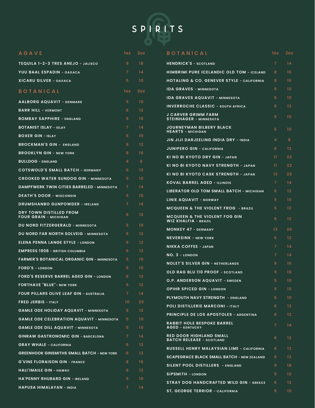

| <b>AGAVE</b>                                                      | loz.            | 2oz               | <b>BOTANICAL</b>                                                        | loz.            | 2oz               |
|-------------------------------------------------------------------|-----------------|-------------------|-------------------------------------------------------------------------|-----------------|-------------------|
| TEQUILA 1-2-3 TRES ANEJO - JALISCO                                | 9               | 18                | <b>HENDRICK'S - SCOTLAND</b>                                            | $\overline{7}$  | 14                |
| YUU BAAL ESPADIN - OAXACA                                         | $\overline{7}$  | 14                | <b>HIMBRIMI PURE ICELANDIC OLD TOM - ICELAND</b>                        | 8               | 16                |
| <b>XICARU SILVER - OAXACA</b>                                     | $5^{\circ}$     | 10                | <b>HOTALING &amp; CO. GENEVER STYLE - CALIFORNIA</b>                    | 8               | 16                |
| <b>BOTANICAL</b>                                                  | loz.            | 2oz               | <b>IDA GRAVES - MINNESOTA</b>                                           | 5               | 10 <sup>°</sup>   |
|                                                                   | $5^{\circ}$     | 10 <sup>2</sup>   | <b>IDA GRAVES AQUAVIT - MINNESOTA</b>                                   | 5               | 10 <sup>°</sup>   |
| <b>AALBORG AQUAVIT - DENMARK</b>                                  | 6               | $12 \overline{ }$ | <b>INVERROCHE CLASSIC - SOUTH AFRICA</b>                                | 6               | 12 <sup>2</sup>   |
| <b>BARR HILL - VERMONT</b>                                        | $5^{\circ}$     | 10 <sup>°</sup>   | <b>J CARVER GRIMM FARM</b><br><b>STEINHAGER - MINNESOTA</b>             | 5               | 10 <sup>°</sup>   |
| <b>BOMBAY SAPPHIRE - ENGLAND</b><br><b>BOTANIST ISLAY - ISLAY</b> | $\overline{7}$  | 14                | <b>JOURNEYMAN BILBERY BLACK</b>                                         |                 |                   |
| <b>BOXER GIN - ISLAY</b>                                          | 5 <sup>5</sup>  | 10 <sup>°</sup>   | <b>HEARTS - MICHIGAN</b>                                                | 5               | 10 <sup>°</sup>   |
| <b>BROCKMAN'S GIN - ENGLAND</b>                                   | 6               | 12                | JIN JIJI DARJEELING INDIA DRY - INDIA                                   | 4               | 8                 |
| <b>BROOKLYN GIN - NEW YORK</b>                                    | 8               | 16                | <b>JUNIPERO GIN - CALIFORNIA</b>                                        | 6               | 12 <sup>2</sup>   |
| <b>BULLDOG - ENGLAND</b>                                          | 4               | 8                 | KI NO BI KYOTO DRY GIN - JAPAN                                          | 11              | 22                |
| <b>COTSWOLD'S SMALL BATCH - GERMANY</b>                           | 6               | 12                | KI NO BI KYOTO NAVY STRENGTH - JAPAN                                    | 11              | 22                |
| <b>CROOKED WATER SUNDOG GIN - MINNESOTA</b>                       | 5               | 10 <sup>°</sup>   | KI NO BI KYOTO CASK STRENGTH - JAPAN                                    | 13 <sup>°</sup> | 26                |
| <b>DAMPFWERK TWIN CITIES BARRELED - MINNESOTA</b>                 | $\overline{7}$  | 14                | <b>KOVAL BARREL AGED - ILLINOIS</b>                                     | $\overline{7}$  | 14                |
| <b>DEATH'S DOOR - WISCONSIN</b>                                   | 5               | 10 <sup>°</sup>   | LIBERATOR OLD TOM SMALL BATCH - MICHIGAN                                | 6               | 12 <sup>2</sup>   |
| <b>DRUMSHANBO GUNPOWDER - IRELAND</b>                             | 7 <sup>1</sup>  | 14                | <b>LINIE AQUAVIT - NORWAY</b>                                           | 5               | 10 <sup>°</sup>   |
| DRY TOWN DISTILLED FROM                                           |                 |                   | <b>MCQUEEN &amp; THE VIOLENT FROG - BRAZIL</b>                          | 6               | $12 \overline{ }$ |
| <b>FOUR GRAIN - MICHIGAN</b>                                      | 6 <sup>1</sup>  | 12                | <b>MCQUEEN &amp; THE VIOLENT FOG GIN</b><br><b>WIZ KHALFIA - BRAZIL</b> | 6               | 12 <sup>2</sup>   |
| <b>DU NORD FITZERGERALD - MINNESOTA</b>                           | 5.              | 10 <sup>°</sup>   | <b>MONKEY 47 - GERMANY</b>                                              | 13              | 26                |
| DU NORD FAR NORTH SOLVEIG - MINNESOTA                             | 6               | 12                | <b>NEVERSINK - NEW YORK</b>                                             | 6               | 12 <sub>2</sub>   |
| <b>ELENA PENNA LANGE STYLE - LONDON</b>                           | 6               | 12                | <b>NIKKA COFFEE - JAPAN</b>                                             | $\overline{7}$  | 14                |
| <b>EMPRESS 1908 - BRITISH COLUMBIA</b>                            | 6               | $12 \overline{ }$ | NO. 3 - LONDON                                                          | $\overline{7}$  | 14                |
| <b>FARMER'S BOTANICAL ORGANIC GIN - MINNESOTA</b>                 | 5.              | 10 <sup>°</sup>   | <b>NOLET'S SILVER GIN - NETHERLANDS</b>                                 | 8               | 16                |
| <b>FORD'S - LONDON</b>                                            | 5               | 10 <sup>°</sup>   | OLD RAG BLU 110 PROOF - SCOTLAND                                        | 9               | 18                |
| <b>FORD'S RESERVE BARREL AGED GIN - LONDON</b>                    | 6               | 12                | O.P. ANDERSON AQUAVIT - SWEDEN                                          | 5               | 10 <sup>°</sup>   |
| <b>FORTHAVE "BLUE"- NEW YORK</b>                                  | 6               | $12 \overline{ }$ | <b>OPIHR SPICED GIN - LONDON</b>                                        | 5               | 10 <sub>1</sub>   |
| <b>FOUR PILLARS OLIVE LEAF GIN - AUSTRALIA</b>                    | $\overline{7}$  | 14                | <b>PLYMOUTH NAVY STRENGTH - ENGLAND</b>                                 | 5.              | 10 <sup>°</sup>   |
| <b>FRED JERBIS - ITALY</b>                                        | 10 <sup>°</sup> | 20                | <b>POLI DISTILLERIE MARCONI - ITALY</b>                                 | 6               | 12 <sub>2</sub>   |
| <b>GAMLE ODE HOLIDAY AQUAVIT - MINNESOTA</b>                      | 6               | 12                | <b>PRINCIPLE DE LOS APOSTOLES - ARGENTINA</b>                           | 6               | 12 <sub>2</sub>   |
| <b>GAMLE ODE CELEBRATION AQUAVIT - MINNESOTA</b>                  | 5               | 10 <sup>°</sup>   | <b>RABBIT HOLE BESPOKE BARREL</b>                                       | 7 <sup>1</sup>  | 14                |
| <b>GAMLE ODE DILL AQUAVIT - MINNESOTA</b>                         | 5               | 10 <sup>°</sup>   | <b>AGED - KENTUCKY</b>                                                  |                 |                   |
| <b>GINRAW GASTRONOMIC GIN - BARCELONA</b>                         | $\mathcal{I}$   | 14                | <b>RED DOOR HIGHLAND SMALL</b><br><b>BATCH RELEASE - SCOTLAND</b>       | 6               | 12 <sub>2</sub>   |
| <b>GRAY WHALE - CALIFORNIA</b>                                    | 6               | $12 \overline{ }$ | <b>RUSSELL HENRY MALAYSIAN LIME - CALIFORNIA</b>                        | 6               | 12 <sub>2</sub>   |
| <b>GREENHOOK GINSMITHS SMALL BATCH - NEW YORK</b>                 | 6               | $12 \overline{ }$ | <b>SCAPEGRACE BLACK SMALL BATCH - NEW ZEALAND</b>                       | 6               | 12 <sub>2</sub>   |
| <b>G'VINE FLORAISON GIN - FRANCE</b>                              | 8               | 16                | SILENT POOL DISTILLERS - ENGLAND                                        | 9               | 18                |
| <b>HALI'IMAILE GIN - HAWAII</b>                                   | 6               | $12 \overline{ }$ | <b>SIPSMITH - LONDON</b>                                                | 5               | 10 <sup>°</sup>   |
| <b>HA'PENNY RHUBARD GIN - IRELAND</b>                             | 5.              | 10 <sub>1</sub>   | <b>STRAY DOG HANDCRAFTED WILD GIN - GREECE</b>                          | 6               | 12 <sub>2</sub>   |
| HAPUSA HIMALAYAN - INDIA                                          | $\mathcal{I}$   | 14                | <b>ST. GEORGE TERRIOR - CALIFORNIA</b>                                  | 5.              | $10-10$           |